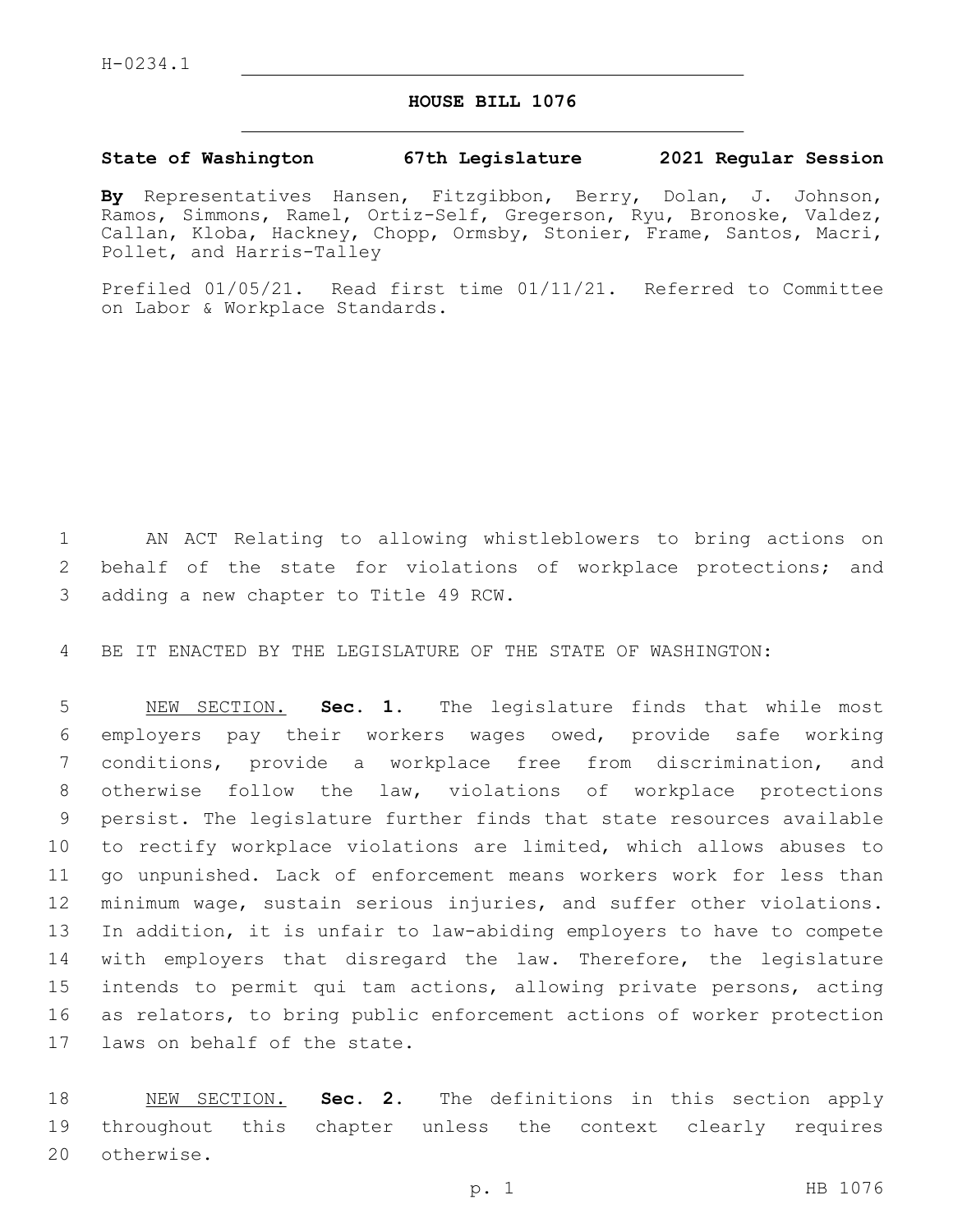## **HOUSE BILL 1076**

## **State of Washington 67th Legislature 2021 Regular Session**

**By** Representatives Hansen, Fitzgibbon, Berry, Dolan, J. Johnson, Ramos, Simmons, Ramel, Ortiz-Self, Gregerson, Ryu, Bronoske, Valdez, Callan, Kloba, Hackney, Chopp, Ormsby, Stonier, Frame, Santos, Macri, Pollet, and Harris-Talley

Prefiled 01/05/21. Read first time 01/11/21. Referred to Committee on Labor & Workplace Standards.

1 AN ACT Relating to allowing whistleblowers to bring actions on 2 behalf of the state for violations of workplace protections; and 3 adding a new chapter to Title 49 RCW.

4 BE IT ENACTED BY THE LEGISLATURE OF THE STATE OF WASHINGTON:

 NEW SECTION. **Sec. 1.** The legislature finds that while most employers pay their workers wages owed, provide safe working conditions, provide a workplace free from discrimination, and otherwise follow the law, violations of workplace protections persist. The legislature further finds that state resources available to rectify workplace violations are limited, which allows abuses to go unpunished. Lack of enforcement means workers work for less than minimum wage, sustain serious injuries, and suffer other violations. In addition, it is unfair to law-abiding employers to have to compete with employers that disregard the law. Therefore, the legislature intends to permit qui tam actions, allowing private persons, acting as relators, to bring public enforcement actions of worker protection laws on behalf of the state.

18 NEW SECTION. **Sec. 2.** The definitions in this section apply 19 throughout this chapter unless the context clearly requires 20 otherwise.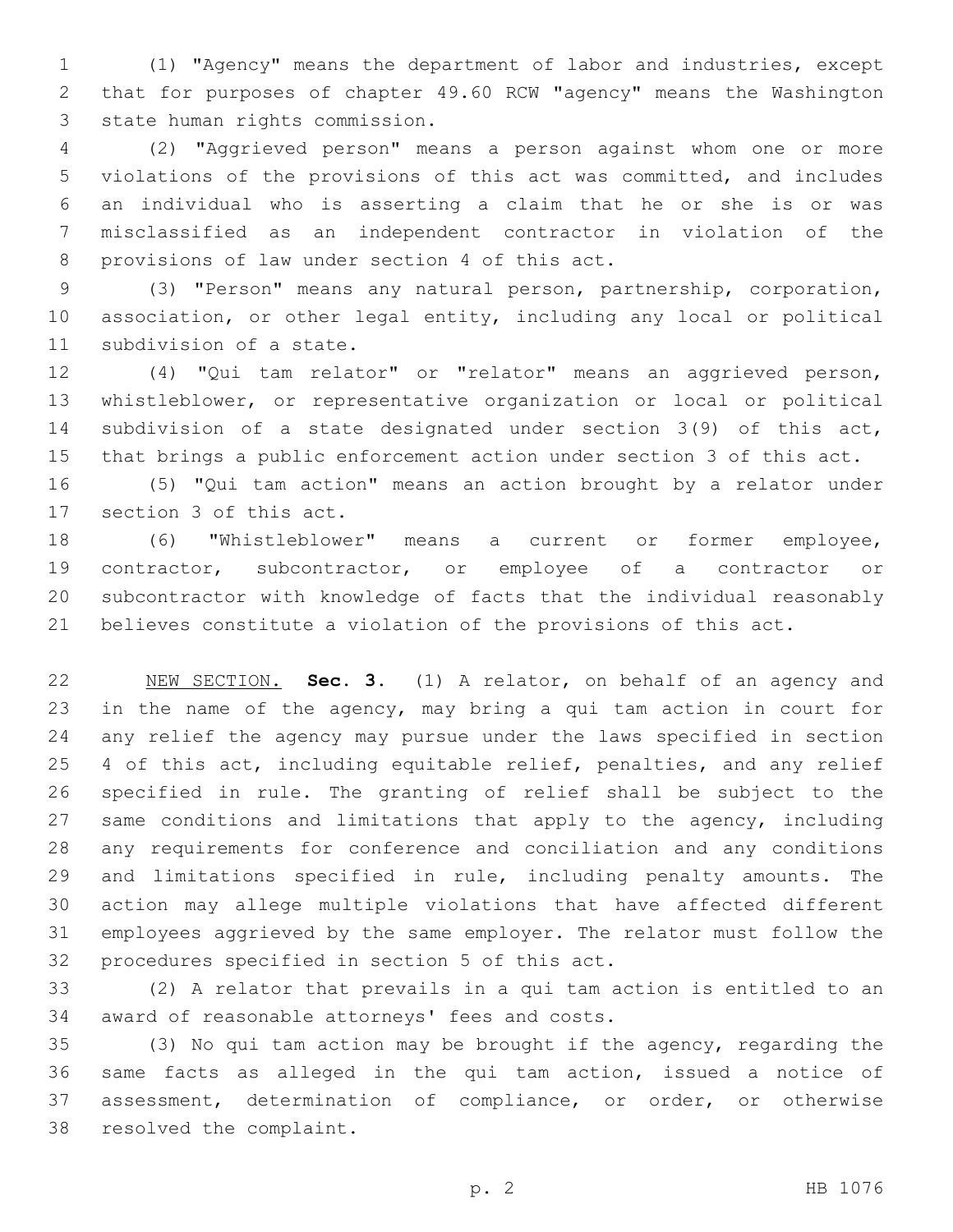(1) "Agency" means the department of labor and industries, except that for purposes of chapter 49.60 RCW "agency" means the Washington 3 state human rights commission.

 (2) "Aggrieved person" means a person against whom one or more violations of the provisions of this act was committed, and includes an individual who is asserting a claim that he or she is or was misclassified as an independent contractor in violation of the 8 provisions of law under section 4 of this act.

 (3) "Person" means any natural person, partnership, corporation, association, or other legal entity, including any local or political 11 subdivision of a state.

 (4) "Qui tam relator" or "relator" means an aggrieved person, whistleblower, or representative organization or local or political subdivision of a state designated under section 3(9) of this act, that brings a public enforcement action under section 3 of this act.

 (5) "Qui tam action" means an action brought by a relator under 17 section 3 of this act.

 (6) "Whistleblower" means a current or former employee, contractor, subcontractor, or employee of a contractor or subcontractor with knowledge of facts that the individual reasonably believes constitute a violation of the provisions of this act.

 NEW SECTION. **Sec. 3.** (1) A relator, on behalf of an agency and in the name of the agency, may bring a qui tam action in court for any relief the agency may pursue under the laws specified in section 25 4 of this act, including equitable relief, penalties, and any relief specified in rule. The granting of relief shall be subject to the 27 same conditions and limitations that apply to the agency, including any requirements for conference and conciliation and any conditions and limitations specified in rule, including penalty amounts. The action may allege multiple violations that have affected different employees aggrieved by the same employer. The relator must follow the procedures specified in section 5 of this act.

 (2) A relator that prevails in a qui tam action is entitled to an 34 award of reasonable attorneys' fees and costs.

 (3) No qui tam action may be brought if the agency, regarding the same facts as alleged in the qui tam action, issued a notice of 37 assessment, determination of compliance, or order, or otherwise 38 resolved the complaint.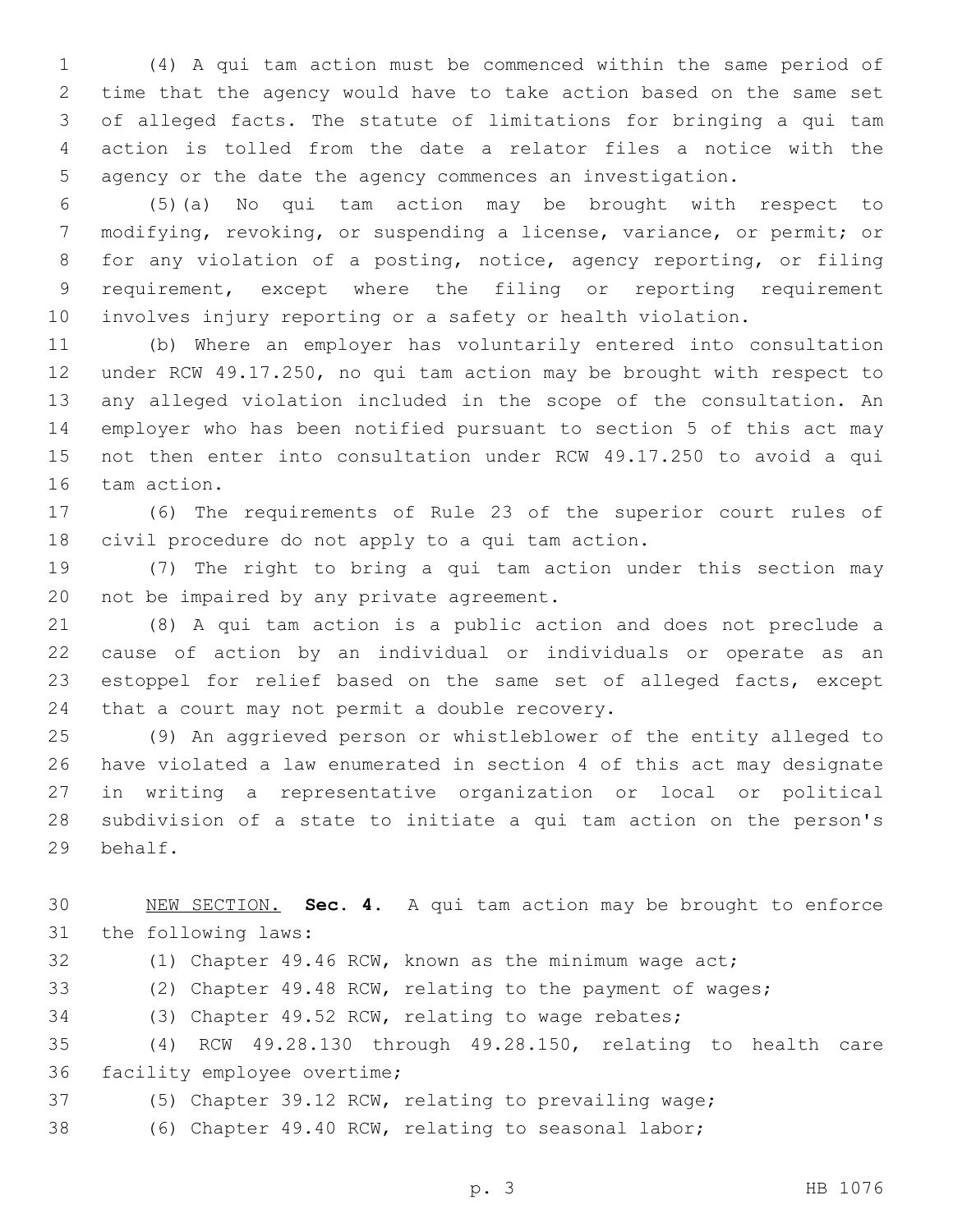(4) A qui tam action must be commenced within the same period of time that the agency would have to take action based on the same set of alleged facts. The statute of limitations for bringing a qui tam action is tolled from the date a relator files a notice with the agency or the date the agency commences an investigation.

 (5)(a) No qui tam action may be brought with respect to modifying, revoking, or suspending a license, variance, or permit; or for any violation of a posting, notice, agency reporting, or filing requirement, except where the filing or reporting requirement involves injury reporting or a safety or health violation.

 (b) Where an employer has voluntarily entered into consultation under RCW 49.17.250, no qui tam action may be brought with respect to any alleged violation included in the scope of the consultation. An employer who has been notified pursuant to section 5 of this act may not then enter into consultation under RCW 49.17.250 to avoid a qui 16 tam action.

 (6) The requirements of Rule 23 of the superior court rules of 18 civil procedure do not apply to a qui tam action.

 (7) The right to bring a qui tam action under this section may 20 not be impaired by any private agreement.

 (8) A qui tam action is a public action and does not preclude a cause of action by an individual or individuals or operate as an estoppel for relief based on the same set of alleged facts, except 24 that a court may not permit a double recovery.

 (9) An aggrieved person or whistleblower of the entity alleged to have violated a law enumerated in section 4 of this act may designate in writing a representative organization or local or political subdivision of a state to initiate a qui tam action on the person's 29 behalf.

 NEW SECTION. **Sec. 4.** A qui tam action may be brought to enforce the following laws:

(1) Chapter 49.46 RCW, known as the minimum wage act;

(2) Chapter 49.48 RCW, relating to the payment of wages;

(3) Chapter 49.52 RCW, relating to wage rebates;

 (4) RCW 49.28.130 through 49.28.150, relating to health care 36 facility employee overtime;

(5) Chapter 39.12 RCW, relating to prevailing wage;

(6) Chapter 49.40 RCW, relating to seasonal labor;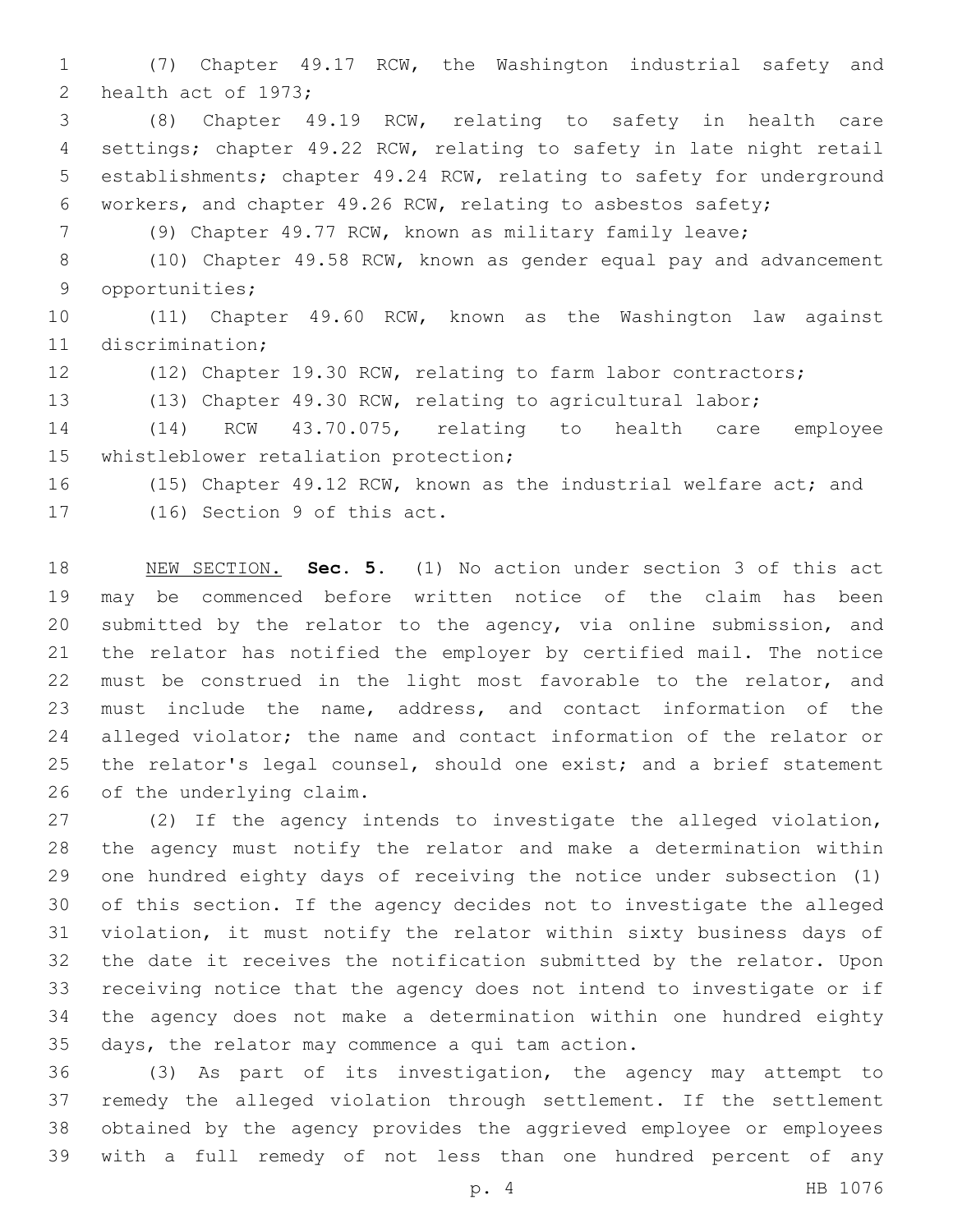(7) Chapter 49.17 RCW, the Washington industrial safety and 2 health act of 1973;

 (8) Chapter 49.19 RCW, relating to safety in health care settings; chapter 49.22 RCW, relating to safety in late night retail establishments; chapter 49.24 RCW, relating to safety for underground workers, and chapter 49.26 RCW, relating to asbestos safety;

(9) Chapter 49.77 RCW, known as military family leave;

 (10) Chapter 49.58 RCW, known as gender equal pay and advancement 9 opportunities;

 (11) Chapter 49.60 RCW, known as the Washington law against 11 discrimination:

(12) Chapter 19.30 RCW, relating to farm labor contractors;

(13) Chapter 49.30 RCW, relating to agricultural labor;

 (14) RCW 43.70.075, relating to health care employee 15 whistleblower retaliation protection;

(15) Chapter 49.12 RCW, known as the industrial welfare act; and

17 (16) Section 9 of this act.

 NEW SECTION. **Sec. 5.** (1) No action under section 3 of this act may be commenced before written notice of the claim has been submitted by the relator to the agency, via online submission, and the relator has notified the employer by certified mail. The notice must be construed in the light most favorable to the relator, and must include the name, address, and contact information of the alleged violator; the name and contact information of the relator or the relator's legal counsel, should one exist; and a brief statement of the underlying claim.

 (2) If the agency intends to investigate the alleged violation, the agency must notify the relator and make a determination within one hundred eighty days of receiving the notice under subsection (1) of this section. If the agency decides not to investigate the alleged violation, it must notify the relator within sixty business days of the date it receives the notification submitted by the relator. Upon receiving notice that the agency does not intend to investigate or if the agency does not make a determination within one hundred eighty 35 days, the relator may commence a qui tam action.

 (3) As part of its investigation, the agency may attempt to remedy the alleged violation through settlement. If the settlement obtained by the agency provides the aggrieved employee or employees with a full remedy of not less than one hundred percent of any

p. 4 HB 1076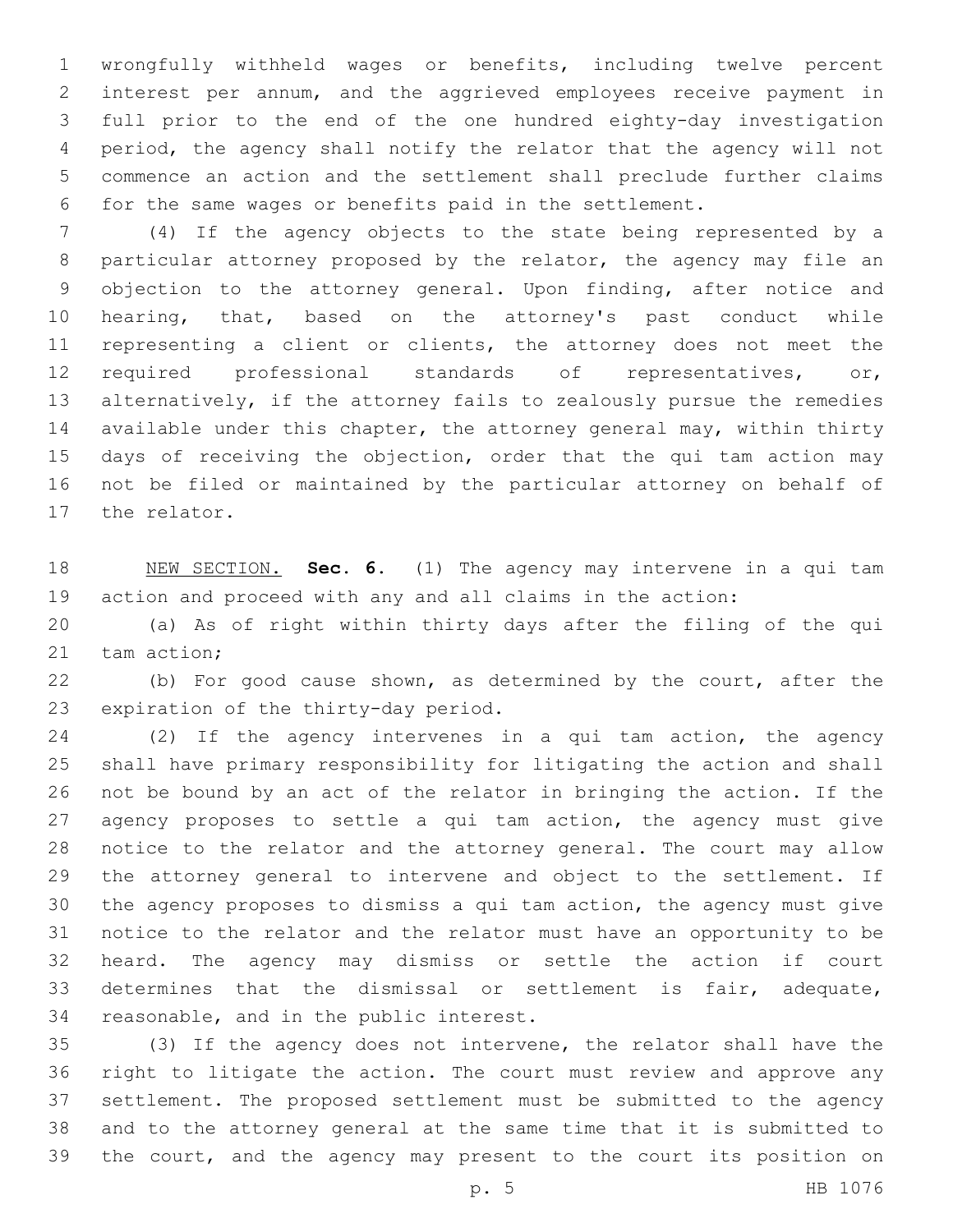wrongfully withheld wages or benefits, including twelve percent interest per annum, and the aggrieved employees receive payment in full prior to the end of the one hundred eighty-day investigation period, the agency shall notify the relator that the agency will not commence an action and the settlement shall preclude further claims for the same wages or benefits paid in the settlement.

 (4) If the agency objects to the state being represented by a particular attorney proposed by the relator, the agency may file an objection to the attorney general. Upon finding, after notice and hearing, that, based on the attorney's past conduct while representing a client or clients, the attorney does not meet the required professional standards of representatives, or, alternatively, if the attorney fails to zealously pursue the remedies available under this chapter, the attorney general may, within thirty 15 days of receiving the objection, order that the qui tam action may not be filed or maintained by the particular attorney on behalf of 17 the relator.

 NEW SECTION. **Sec. 6.** (1) The agency may intervene in a qui tam action and proceed with any and all claims in the action:

 (a) As of right within thirty days after the filing of the qui 21 tam action:

 (b) For good cause shown, as determined by the court, after the 23 expiration of the thirty-day period.

 (2) If the agency intervenes in a qui tam action, the agency shall have primary responsibility for litigating the action and shall not be bound by an act of the relator in bringing the action. If the agency proposes to settle a qui tam action, the agency must give notice to the relator and the attorney general. The court may allow the attorney general to intervene and object to the settlement. If the agency proposes to dismiss a qui tam action, the agency must give notice to the relator and the relator must have an opportunity to be heard. The agency may dismiss or settle the action if court determines that the dismissal or settlement is fair, adequate, 34 reasonable, and in the public interest.

 (3) If the agency does not intervene, the relator shall have the right to litigate the action. The court must review and approve any settlement. The proposed settlement must be submitted to the agency and to the attorney general at the same time that it is submitted to the court, and the agency may present to the court its position on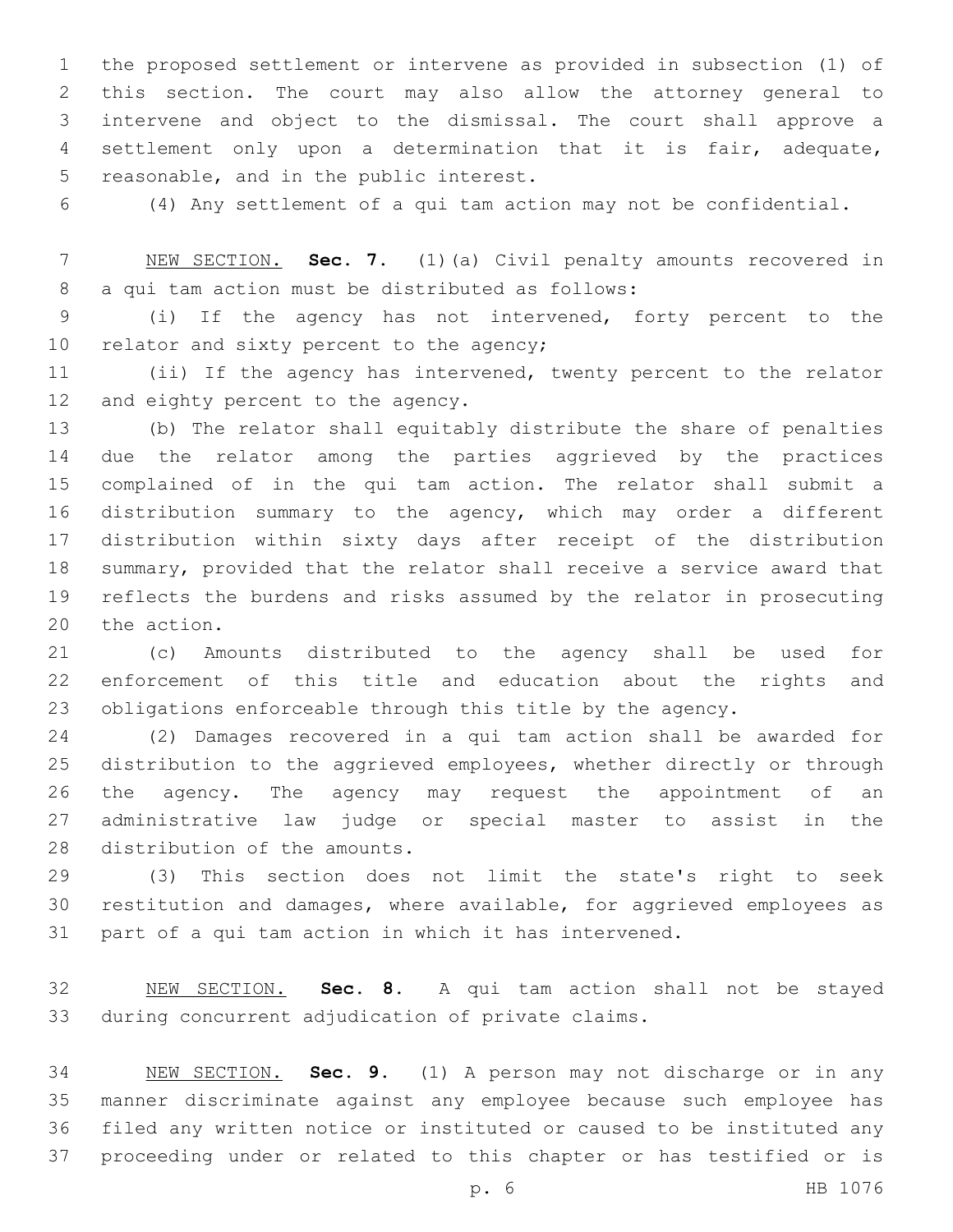the proposed settlement or intervene as provided in subsection (1) of this section. The court may also allow the attorney general to intervene and object to the dismissal. The court shall approve a settlement only upon a determination that it is fair, adequate, 5 reasonable, and in the public interest.

(4) Any settlement of a qui tam action may not be confidential.

 NEW SECTION. **Sec. 7.** (1)(a) Civil penalty amounts recovered in a qui tam action must be distributed as follows:

 (i) If the agency has not intervened, forty percent to the 10 relator and sixty percent to the agency;

 (ii) If the agency has intervened, twenty percent to the relator 12 and eighty percent to the agency.

 (b) The relator shall equitably distribute the share of penalties due the relator among the parties aggrieved by the practices complained of in the qui tam action. The relator shall submit a distribution summary to the agency, which may order a different distribution within sixty days after receipt of the distribution summary, provided that the relator shall receive a service award that reflects the burdens and risks assumed by the relator in prosecuting 20 the action.

 (c) Amounts distributed to the agency shall be used for enforcement of this title and education about the rights and obligations enforceable through this title by the agency.

 (2) Damages recovered in a qui tam action shall be awarded for distribution to the aggrieved employees, whether directly or through the agency. The agency may request the appointment of an administrative law judge or special master to assist in the 28 distribution of the amounts.

 (3) This section does not limit the state's right to seek restitution and damages, where available, for aggrieved employees as part of a qui tam action in which it has intervened.

 NEW SECTION. **Sec. 8.** A qui tam action shall not be stayed during concurrent adjudication of private claims.

 NEW SECTION. **Sec. 9.** (1) A person may not discharge or in any manner discriminate against any employee because such employee has filed any written notice or instituted or caused to be instituted any proceeding under or related to this chapter or has testified or is

p. 6 HB 1076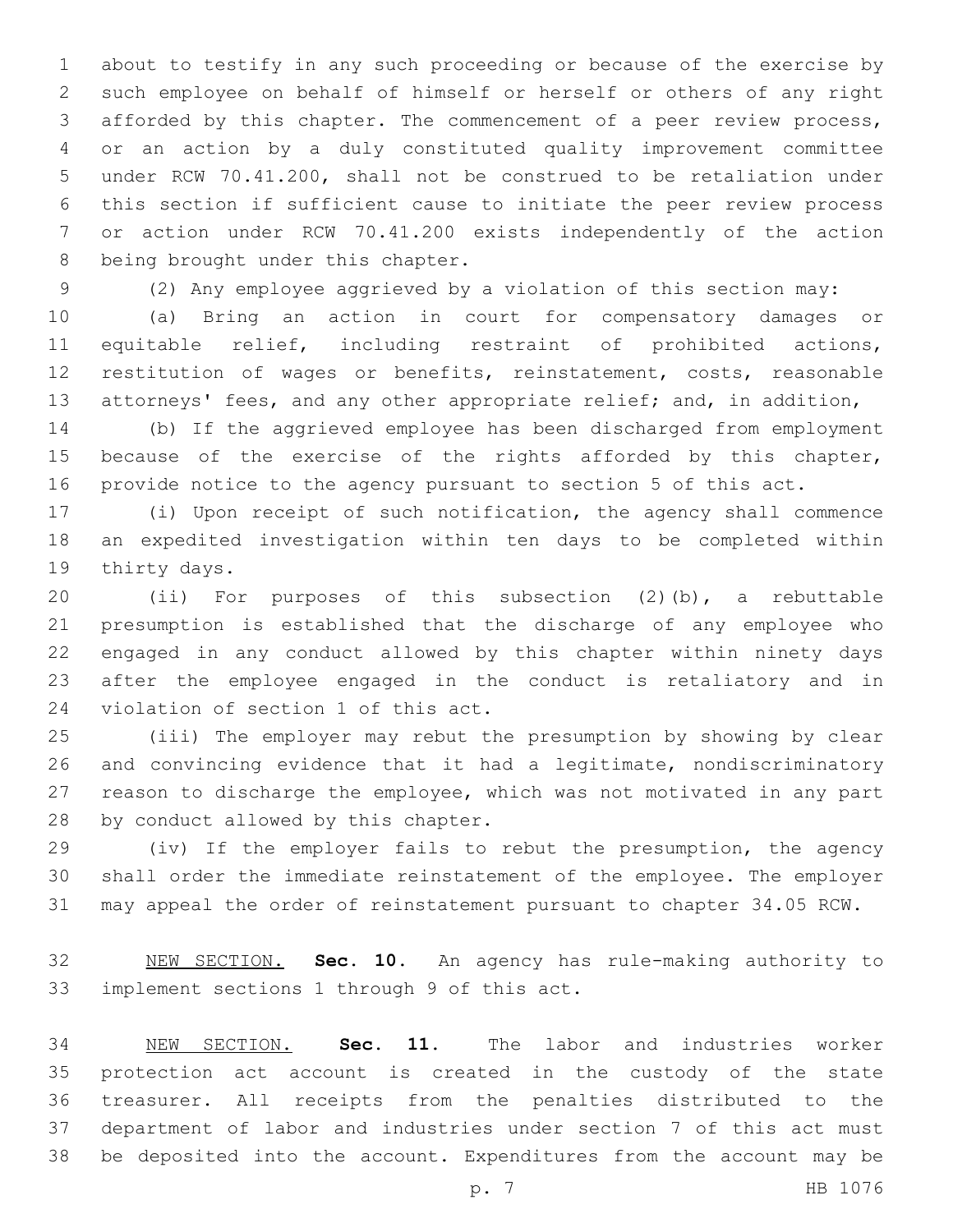about to testify in any such proceeding or because of the exercise by such employee on behalf of himself or herself or others of any right afforded by this chapter. The commencement of a peer review process, or an action by a duly constituted quality improvement committee under RCW 70.41.200, shall not be construed to be retaliation under this section if sufficient cause to initiate the peer review process or action under RCW 70.41.200 exists independently of the action 8 being brought under this chapter.

(2) Any employee aggrieved by a violation of this section may:

 (a) Bring an action in court for compensatory damages or equitable relief, including restraint of prohibited actions, restitution of wages or benefits, reinstatement, costs, reasonable attorneys' fees, and any other appropriate relief; and, in addition,

 (b) If the aggrieved employee has been discharged from employment 15 because of the exercise of the rights afforded by this chapter, provide notice to the agency pursuant to section 5 of this act.

 (i) Upon receipt of such notification, the agency shall commence an expedited investigation within ten days to be completed within 19 thirty days.

 (ii) For purposes of this subsection (2)(b), a rebuttable presumption is established that the discharge of any employee who engaged in any conduct allowed by this chapter within ninety days after the employee engaged in the conduct is retaliatory and in 24 violation of section 1 of this act.

 (iii) The employer may rebut the presumption by showing by clear and convincing evidence that it had a legitimate, nondiscriminatory reason to discharge the employee, which was not motivated in any part 28 by conduct allowed by this chapter.

 (iv) If the employer fails to rebut the presumption, the agency shall order the immediate reinstatement of the employee. The employer may appeal the order of reinstatement pursuant to chapter 34.05 RCW.

 NEW SECTION. **Sec. 10.** An agency has rule-making authority to implement sections 1 through 9 of this act.

 NEW SECTION. **Sec. 11.** The labor and industries worker protection act account is created in the custody of the state treasurer. All receipts from the penalties distributed to the department of labor and industries under section 7 of this act must be deposited into the account. Expenditures from the account may be